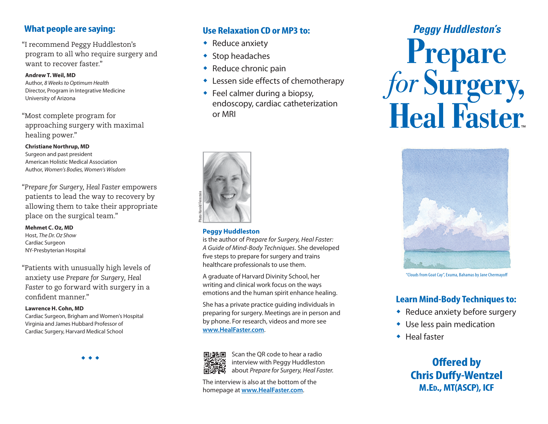#### **What people are saying:**

"I recommend Peggy Huddleston's program to all who require surgery and want to recover faster."

**Andrew T. Weil, MD** Author, *8 Weeks to Optimum Health* Director, Program in Integrative Medicine University of Arizona

"Most complete program for approaching surgery with maximal healing power."

**Christiane Northrup, MD** Surgeon and past president American Holistic Medical Association Author, *Women's Bodies, Women's Wisdom*

"*Prepare for Surgery, Heal Faster* empowers patients to lead the way to recovery by allowing them to take their appropriate place on the surgical team."

**Mehmet C. Oz, MD** Host, *The Dr. Oz Show* Cardiac Surgeon NY-Presbyterian Hospital

"Patients with unusually high levels of anxiety use *Prepare for Surgery, Heal Faster* to go forward with surgery in a confident manner."

#### **Lawrence H. Cohn, MD**

Cardiac Surgeon, Brigham and Women's Hospital Virginia and James Hubbard Professor of Cardiac Surgery, Harvard Medical School



#### **Use Relaxation CD or MP3 to:**

- $\triangleleft$  Reduce anxiety
- $\bullet$  Stop headaches
- $\triangleleft$  Reduce chronic pain
- $\triangle$  Lessen side effects of chemotherapy
- $\bullet$  Feel calmer during a biopsy, endoscopy, cardiac catheterization or MRI



#### **Peggy Huddleston**

is the author of *Prepare for Surgery, Heal Faster: A Guide of Mind-Body Techniques*. She developed five steps to prepare for surgery and trains healthcare professionals to use them.

A graduate of Harvard Divinity School, her writing and clinical work focus on the ways emotions and the human spirit enhance healing.

She has a private practice guiding individuals in preparing for surgery. Meetings are in person and by phone. For research, videos and more see **www.HealFaster.com**.



Scan the QR code to hear a radio interview with Peggy Huddleston about *Prepare for Surgery, Heal Faster.*

The interview is also at the bottom of the homepage at **www.HealFaster.com**.

# *Peggy Huddleston's* Prepare<br>for Surgery,<br>Heal Faster.



"Clouds from Goat Cay", Exuma, Bahamas by Jane Chermayoff

#### **Learn Mind-Body Techniques to:**

- $\bullet$  Reduce anxiety before surgery
- $\bullet$  Use less pain medication
- $\triangleleft$  Heal faster

**Offered by Chris Duffy-Wentzel M.Ed., MT(ASCP), ICF**